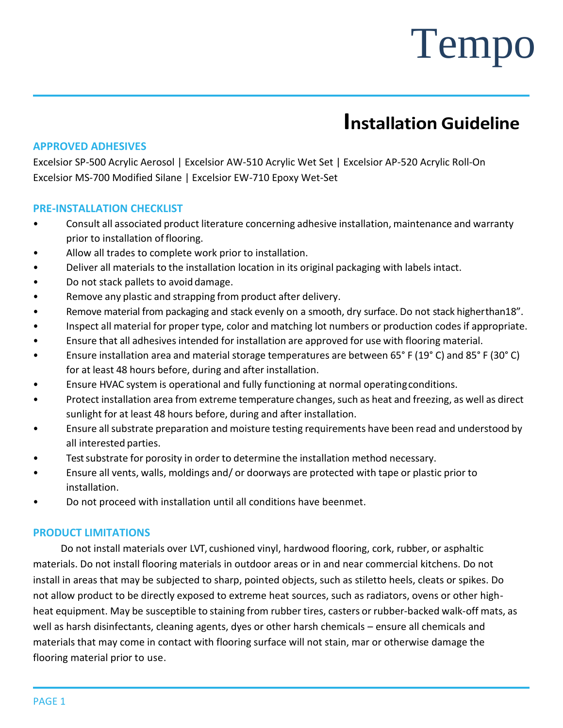## **Installation Guideline**

## **APPROVED ADHESIVES**

Excelsior SP-500 Acrylic Aerosol | Excelsior AW-510 Acrylic Wet Set | Excelsior AP-520 Acrylic Roll-On Excelsior MS-700 Modified Silane | Excelsior EW-710 Epoxy Wet-Set

### **PRE-INSTALLATION CHECKLIST**

- Consult all associated product literature concerning adhesive installation, maintenance and warranty prior to installation of flooring.
- Allow all trades to complete work prior to installation.
- Deliver all materials to the installation location in its original packaging with labels intact.
- Do not stack pallets to avoid damage.
- Remove any plastic and strapping from product after delivery.
- Remove material from packaging and stack evenly on a smooth, dry surface. Do not stack higherthan18".
- Inspect all material for proper type, color and matching lot numbers or production codes if appropriate.
- Ensure that all adhesivesintended for installation are approved for use with flooring material.
- Ensure installation area and material storage temperatures are between 65° F (19° C) and 85° F (30° C) for at least 48 hours before, during and after installation.
- Ensure HVAC system is operational and fully functioning at normal operatingconditions.
- Protect installation area from extreme temperature changes, such as heat and freezing, as well as direct sunlight for at least 48 hours before, during and after installation.
- Ensure all substrate preparation and moisture testing requirements have been read and understood by all interested parties.
- Test substrate for porosity in order to determine the installation method necessary.
- Ensure all vents, walls, moldings and/ or doorways are protected with tape or plastic prior to installation.
- Do not proceed with installation until all conditions have beenmet.

#### **PRODUCT LIMITATIONS**

Do not install materials over LVT, cushioned vinyl, hardwood flooring, cork, rubber, or asphaltic materials. Do not install flooring materials in outdoor areas or in and near commercial kitchens. Do not install in areas that may be subjected to sharp, pointed objects, such as stiletto heels, cleats or spikes. Do not allow product to be directly exposed to extreme heat sources, such as radiators, ovens or other highheat equipment. May be susceptible to staining from rubber tires, casters or rubber-backed walk-off mats, as well as harsh disinfectants, cleaning agents, dyes or other harsh chemicals – ensure all chemicals and materials that may come in contact with flooring surface will not stain, mar or otherwise damage the flooring material prior to use.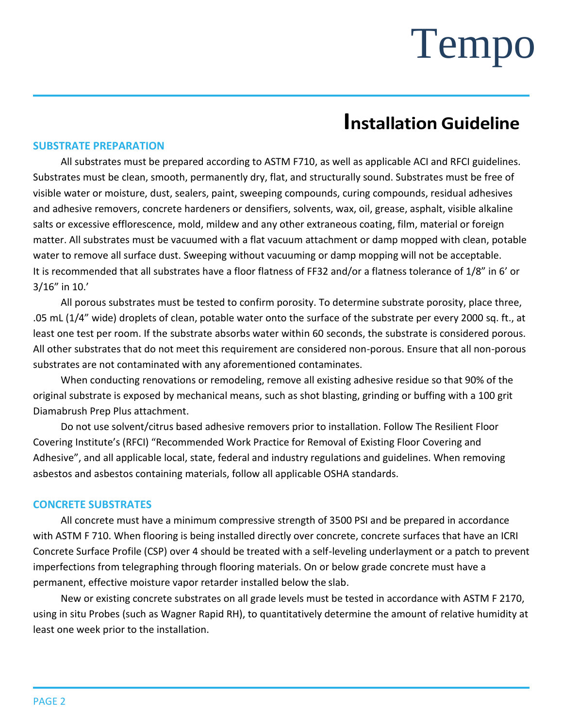## **Installation Guideline**

### **SUBSTRATE PREPARATION**

All substrates must be prepared according to ASTM F710, as well as applicable ACI and RFCI guidelines. Substrates must be clean, smooth, permanently dry, flat, and structurally sound. Substrates must be free of visible water or moisture, dust, sealers, paint, sweeping compounds, curing compounds, residual adhesives and adhesive removers, concrete hardeners or densifiers, solvents, wax, oil, grease, asphalt, visible alkaline salts or excessive efflorescence, mold, mildew and any other extraneous coating, film, material or foreign matter. All substrates must be vacuumed with a flat vacuum attachment or damp mopped with clean, potable water to remove all surface dust. Sweeping without vacuuming or damp mopping will not be acceptable. It is recommended that all substrates have a floor flatness of FF32 and/or a flatness tolerance of 1/8" in 6' or 3/16" in 10.'

All porous substrates must be tested to confirm porosity. To determine substrate porosity, place three, .05 mL (1/4" wide) droplets of clean, potable water onto the surface of the substrate per every 2000 sq. ft., at least one test per room. If the substrate absorbs water within 60 seconds, the substrate is considered porous. All other substrates that do not meet this requirement are considered non-porous. Ensure that all non-porous substrates are not contaminated with any aforementioned contaminates.

When conducting renovations or remodeling, remove all existing adhesive residue so that 90% of the original substrate is exposed by mechanical means, such as shot blasting, grinding or buffing with a 100 grit Diamabrush Prep Plus attachment.

Do not use solvent/citrus based adhesive removers prior to installation. Follow The Resilient Floor Covering Institute's (RFCI) "Recommended Work Practice for Removal of Existing Floor Covering and Adhesive", and all applicable local, state, federal and industry regulations and guidelines. When removing asbestos and asbestos containing materials, follow all applicable OSHA standards.

#### **CONCRETE SUBSTRATES**

All concrete must have a minimum compressive strength of 3500 PSI and be prepared in accordance with ASTM F 710. When flooring is being installed directly over concrete, concrete surfaces that have an ICRI Concrete Surface Profile (CSP) over 4 should be treated with a self-leveling underlayment or a patch to prevent imperfections from telegraphing through flooring materials. On or below grade concrete must have a permanent, effective moisture vapor retarder installed below the slab.

New or existing concrete substrates on all grade levels must be tested in accordance with ASTM F 2170, using in situ Probes (such as Wagner Rapid RH), to quantitatively determine the amount of relative humidity at least one week prior to the installation.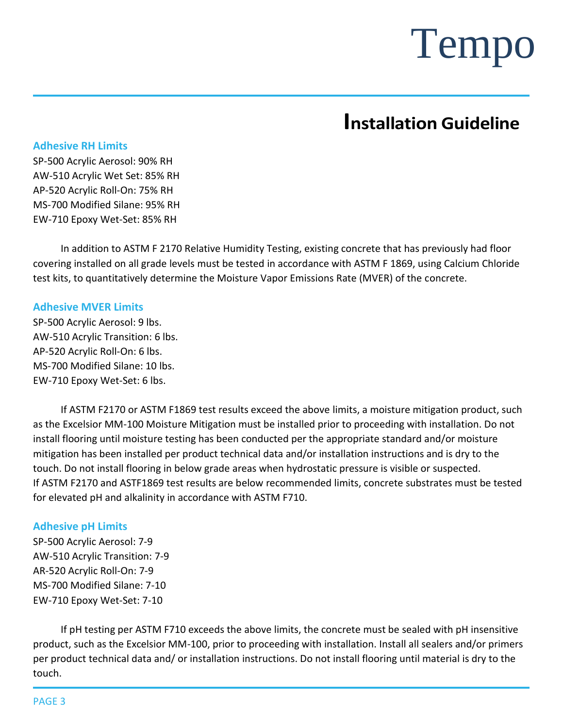## **Installation Guideline**

### **Adhesive RH Limits**

SP-500 Acrylic Aerosol: 90% RH AW-510 Acrylic Wet Set: 85% RH AP-520 Acrylic Roll-On: 75% RH MS-700 Modified Silane: 95% RH EW-710 Epoxy Wet-Set: 85% RH

In addition to ASTM F 2170 Relative Humidity Testing, existing concrete that has previously had floor covering installed on all grade levels must be tested in accordance with ASTM F 1869, using Calcium Chloride test kits, to quantitatively determine the Moisture Vapor Emissions Rate (MVER) of the concrete.

### **Adhesive MVER Limits**

SP-500 Acrylic Aerosol: 9 lbs. AW-510 Acrylic Transition: 6 lbs. AP-520 Acrylic Roll-On: 6 lbs. MS-700 Modified Silane: 10 lbs. EW-710 Epoxy Wet-Set: 6 lbs.

If ASTM F2170 or ASTM F1869 test results exceed the above limits, a moisture mitigation product, such as the Excelsior MM-100 Moisture Mitigation must be installed prior to proceeding with installation. Do not install flooring until moisture testing has been conducted per the appropriate standard and/or moisture mitigation has been installed per product technical data and/or installation instructions and is dry to the touch. Do not install flooring in below grade areas when hydrostatic pressure is visible or suspected. If ASTM F2170 and ASTF1869 test results are below recommended limits, concrete substrates must be tested for elevated pH and alkalinity in accordance with ASTM F710.

### **Adhesive pH Limits**

SP-500 Acrylic Aerosol: 7-9 AW-510 Acrylic Transition: 7-9 AR-520 Acrylic Roll-On: 7-9 MS-700 Modified Silane: 7-10 EW-710 Epoxy Wet-Set: 7-10

If pH testing per ASTM F710 exceeds the above limits, the concrete must be sealed with pH insensitive product, such as the Excelsior MM-100, prior to proceeding with installation. Install all sealers and/or primers per product technical data and/ or installation instructions. Do not install flooring until material is dry to the touch.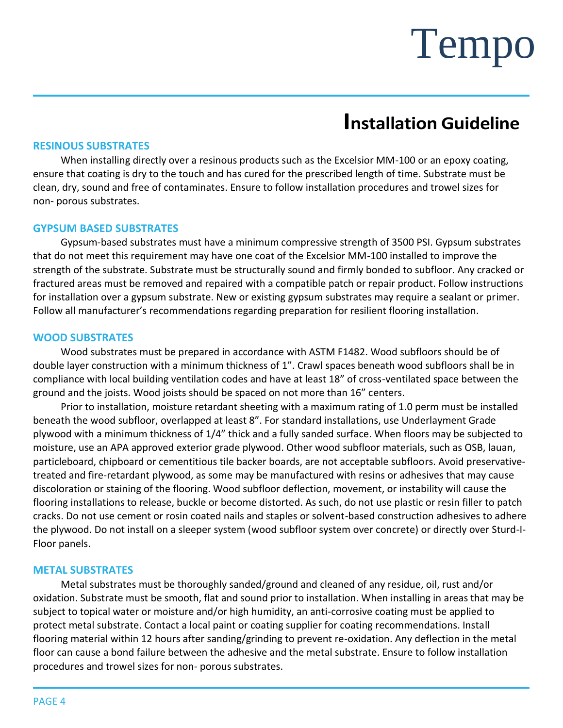## **Installation Guideline**

#### **RESINOUS SUBSTRATES**

When installing directly over a resinous products such as the Excelsior MM-100 or an epoxy coating, ensure that coating is dry to the touch and has cured for the prescribed length of time. Substrate must be clean, dry, sound and free of contaminates. Ensure to follow installation procedures and trowel sizes for non- porous substrates.

#### **GYPSUM BASED SUBSTRATES**

Gypsum-based substrates must have a minimum compressive strength of 3500 PSI. Gypsum substrates that do not meet this requirement may have one coat of the Excelsior MM-100 installed to improve the strength of the substrate. Substrate must be structurally sound and firmly bonded to subfloor. Any cracked or fractured areas must be removed and repaired with a compatible patch or repair product. Follow instructions for installation over a gypsum substrate. New or existing gypsum substrates may require a sealant or primer. Follow all manufacturer's recommendations regarding preparation for resilient flooring installation.

#### **WOOD SUBSTRATES**

Wood substrates must be prepared in accordance with ASTM F1482. Wood subfloors should be of double layer construction with a minimum thickness of 1". Crawl spaces beneath wood subfloors shall be in compliance with local building ventilation codes and have at least 18" of cross-ventilated space between the ground and the joists. Wood joists should be spaced on not more than 16" centers.

Prior to installation, moisture retardant sheeting with a maximum rating of 1.0 perm must be installed beneath the wood subfloor, overlapped at least 8". For standard installations, use Underlayment Grade plywood with a minimum thickness of 1/4" thick and a fully sanded surface. When floors may be subjected to moisture, use an APA approved exterior grade plywood. Other wood subfloor materials, such as OSB, lauan, particleboard, chipboard or cementitious tile backer boards, are not acceptable subfloors. Avoid preservativetreated and fire-retardant plywood, as some may be manufactured with resins or adhesives that may cause discoloration or staining of the flooring. Wood subfloor deflection, movement, or instability will cause the flooring installations to release, buckle or become distorted. As such, do not use plastic or resin filler to patch cracks. Do not use cement or rosin coated nails and staples or solvent-based construction adhesives to adhere the plywood. Do not install on a sleeper system (wood subfloor system over concrete) or directly over Sturd-I-Floor panels.

#### **METAL SUBSTRATES**

Metal substrates must be thoroughly sanded/ground and cleaned of any residue, oil, rust and/or oxidation. Substrate must be smooth, flat and sound prior to installation. When installing in areas that may be subject to topical water or moisture and/or high humidity, an anti-corrosive coating must be applied to protect metal substrate. Contact a local paint or coating supplier for coating recommendations. Install flooring material within 12 hours after sanding/grinding to prevent re-oxidation. Any deflection in the metal floor can cause a bond failure between the adhesive and the metal substrate. Ensure to follow installation procedures and trowel sizes for non- porous substrates.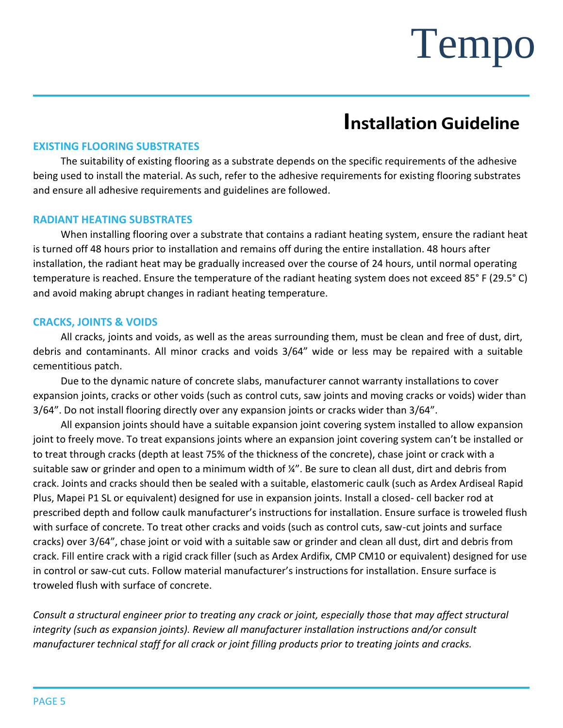## **Installation Guideline**

### **EXISTING FLOORING SUBSTRATES**

The suitability of existing flooring as a substrate depends on the specific requirements of the adhesive being used to install the material. As such, refer to the adhesive requirements for existing flooring substrates and ensure all adhesive requirements and guidelines are followed.

### **RADIANT HEATING SUBSTRATES**

When installing flooring over a substrate that contains a radiant heating system, ensure the radiant heat is turned off 48 hours prior to installation and remains off during the entire installation. 48 hours after installation, the radiant heat may be gradually increased over the course of 24 hours, until normal operating temperature is reached. Ensure the temperature of the radiant heating system does not exceed 85° F (29.5° C) and avoid making abrupt changes in radiant heating temperature.

### **CRACKS, JOINTS & VOIDS**

All cracks, joints and voids, as well as the areas surrounding them, must be clean and free of dust, dirt, debris and contaminants. All minor cracks and voids 3/64" wide or less may be repaired with a suitable cementitious patch.

Due to the dynamic nature of concrete slabs, manufacturer cannot warranty installations to cover expansion joints, cracks or other voids (such as control cuts, saw joints and moving cracks or voids) wider than 3/64". Do not install flooring directly over any expansion joints or cracks wider than 3/64".

All expansion joints should have a suitable expansion joint covering system installed to allow expansion joint to freely move. To treat expansions joints where an expansion joint covering system can't be installed or to treat through cracks (depth at least 75% of the thickness of the concrete), chase joint or crack with a suitable saw or grinder and open to a minimum width of ¼". Be sure to clean all dust, dirt and debris from crack. Joints and cracks should then be sealed with a suitable, elastomeric caulk (such as Ardex Ardiseal Rapid Plus, Mapei P1 SL or equivalent) designed for use in expansion joints. Install a closed- cell backer rod at prescribed depth and follow caulk manufacturer's instructions for installation. Ensure surface is troweled flush with surface of concrete. To treat other cracks and voids (such as control cuts, saw-cut joints and surface cracks) over 3/64", chase joint or void with a suitable saw or grinder and clean all dust, dirt and debris from crack. Fill entire crack with a rigid crack filler (such as Ardex Ardifix, CMP CM10 or equivalent) designed for use in control or saw-cut cuts. Follow material manufacturer's instructions for installation. Ensure surface is troweled flush with surface of concrete.

*Consult a structural engineer prior to treating any crack or joint, especially those that may affect structural integrity (such as expansion joints). Review all manufacturer installation instructions and/or consult manufacturer technical staff for all crack or joint filling products prior to treating joints and cracks.*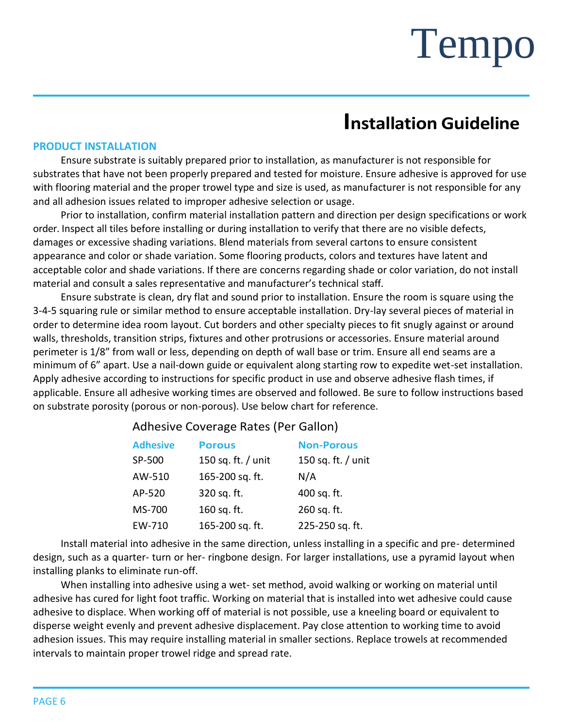## **Installation Guideline**

#### **PRODUCT INSTALLATION**

Ensure substrate is suitably prepared prior to installation, as manufacturer is not responsible for substrates that have not been properly prepared and tested for moisture. Ensure adhesive is approved for use with flooring material and the proper trowel type and size is used, as manufacturer is not responsible for any and all adhesion issues related to improper adhesive selection or usage.

Prior to installation, confirm material installation pattern and direction per design specifications or work order. Inspect all tiles before installing or during installation to verify that there are no visible defects, damages or excessive shading variations. Blend materials from several cartons to ensure consistent appearance and color or shade variation. Some flooring products, colors and textures have latent and acceptable color and shade variations. If there are concerns regarding shade or color variation, do not install material and consult a sales representative and manufacturer's technical staff.

Ensure substrate is clean, dry flat and sound prior to installation. Ensure the room is square using the 3-4-5 squaring rule or similar method to ensure acceptable installation. Dry-lay several pieces of material in order to determine idea room layout. Cut borders and other specialty pieces to fit snugly against or around walls, thresholds, transition strips, fixtures and other protrusions or accessories. Ensure material around perimeter is 1/8" from wall or less, depending on depth of wall base or trim. Ensure all end seams are a minimum of 6" apart. Use a nail-down guide or equivalent along starting row to expedite wet-set installation. Apply adhesive according to instructions for specific product in use and observe adhesive flash times, if applicable. Ensure all adhesive working times are observed and followed. Be sure to follow instructions based on substrate porosity (porous or non-porous). Use below chart for reference.

## Adhesive Coverage Rates (Per Gallon)

| <b>Adhesive</b> | <b>Porous</b>      | <b>Non-Porous</b>  |
|-----------------|--------------------|--------------------|
| SP-500          | 150 sq. ft. / unit | 150 sq. ft. / unit |
| AW-510          | 165-200 sq. ft.    | N/A                |
| AP-520          | 320 sq. ft.        | 400 sq. ft.        |
| MS-700          | 160 sq. ft.        | 260 sq. ft.        |
| EW-710          | 165-200 sq. ft.    | 225-250 sq. ft.    |

Install material into adhesive in the same direction, unless installing in a specific and pre- determined design, such as a quarter- turn or her- ringbone design. For larger installations, use a pyramid layout when installing planks to eliminate run-off.

When installing into adhesive using a wet- set method, avoid walking or working on material until adhesive has cured for light foot traffic. Working on material that is installed into wet adhesive could cause adhesive to displace. When working off of material is not possible, use a kneeling board or equivalent to disperse weight evenly and prevent adhesive displacement. Pay close attention to working time to avoid adhesion issues. This may require installing material in smaller sections. Replace trowels at recommended intervals to maintain proper trowel ridge and spread rate.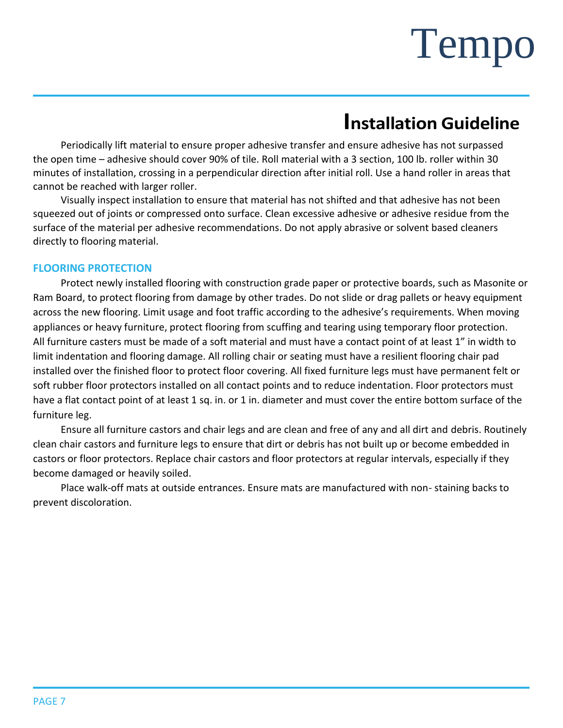## **Installation Guideline**

Periodically lift material to ensure proper adhesive transfer and ensure adhesive has not surpassed the open time – adhesive should cover 90% of tile. Roll material with a 3 section, 100 lb. roller within 30 minutes of installation, crossing in a perpendicular direction after initial roll. Use a hand roller in areas that cannot be reached with larger roller.

Visually inspect installation to ensure that material has not shifted and that adhesive has not been squeezed out of joints or compressed onto surface. Clean excessive adhesive or adhesive residue from the surface of the material per adhesive recommendations. Do not apply abrasive or solvent based cleaners directly to flooring material.

### **FLOORING PROTECTION**

Protect newly installed flooring with construction grade paper or protective boards, such as Masonite or Ram Board, to protect flooring from damage by other trades. Do not slide or drag pallets or heavy equipment across the new flooring. Limit usage and foot traffic according to the adhesive's requirements. When moving appliances or heavy furniture, protect flooring from scuffing and tearing using temporary floor protection. All furniture casters must be made of a soft material and must have a contact point of at least 1" in width to limit indentation and flooring damage. All rolling chair or seating must have a resilient flooring chair pad installed over the finished floor to protect floor covering. All fixed furniture legs must have permanent felt or soft rubber floor protectors installed on all contact points and to reduce indentation. Floor protectors must have a flat contact point of at least 1 sq. in. or 1 in. diameter and must cover the entire bottom surface of the furniture leg.

Ensure all furniture castors and chair legs and are clean and free of any and all dirt and debris. Routinely clean chair castors and furniture legs to ensure that dirt or debris has not built up or become embedded in castors or floor protectors. Replace chair castors and floor protectors at regular intervals, especially if they become damaged or heavily soiled.

Place walk-off mats at outside entrances. Ensure mats are manufactured with non- staining backs to prevent discoloration.